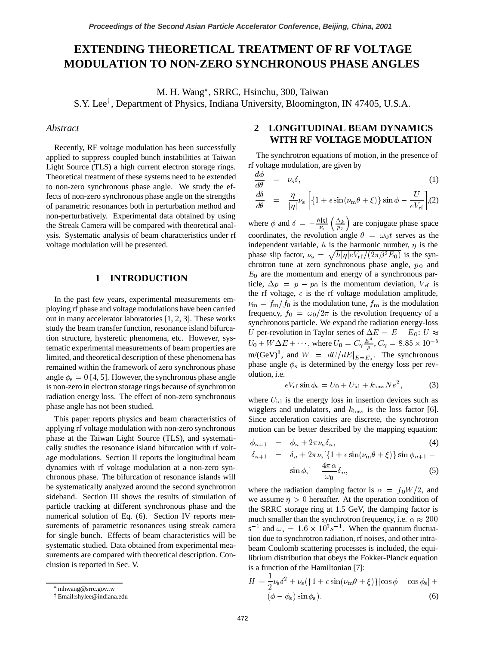# **EXTENDING THEORETICAL TREATMENT OF RF VOLTAGE MODULATION TO NON-ZERO SYNCHRONOUS PHASE ANGLES**

M. H. Wang\*, SRRC, Hsinchu, 300, Taiwan S.Y. Lee<sup>†</sup>, Department of Physics, Indiana University, Bloomington, IN 47405, U.S.A.

#### *Abstract*

Recently, RF voltage modulation has been successfully applied to suppress coupled bunch instabilities at Taiwan Light Source (TLS) a high current electron storage rings. Theoretical treatment of these systems need to be extended to non-zero synchronous phase angle. We study the effects of non-zero synchronous phase angle on the strengths of parametric resonances both in perturbation method and non-perturbatively. Experimental data obtained by using the Streak Camera will be compared with theoretical analysis. Systematic analysis of beam characteristics under rf voltage modulation will be presented.

#### **1 INTRODUCTION**

In the past few years, experimental measurements employing rf phase and voltage modulations have been carried out in many accelerator laboratories [1, 2, 3]. These works study the beam transfer function, resonance island bifurcation structure, hysteretic phenomena, etc. However, systematic experimental measurements of beam properties are limited, and theoretical description of these phenomena has remained within the framework of zero synchronous phase angle  $\phi$ <sub>s</sub> = 0 [4, 5]. However, the synchronous phase angle is non-zero in electron storage rings because of synchrotron radiation energy loss. The effect of non-zero synchronous phase angle has not been studied.

This paper reports physics and beam characteristics of applying rf voltage modulation with non-zero synchronous phase at the Taiwan Light Source (TLS), and systematically studies the resonance island bifurcation with rf voltage modulations. Section II reports the longitudinal beam dynamics with rf voltage modulation at a non-zero synchronous phase. The bifurcation of resonance islands will be systematically analyzed around the second synchrotron sideband. Section III shows the results of simulation of particle tracking at different synchronous phase and the numerical solution of Eq. (6). Section IV reports measurements of parametric resonances using streak camera for single bunch. Effects of beam characteristics will be systematic studied. Data obtained from experimental measurements are compared with theoretical description. Conclusion is reported in Sec. V.

### **2 LONGITUDINAL BEAM DYNAMICS WITH RF VOLTAGE MODULATION**

The synchrotron equations of motion, in the presence of rf voltage modulation, are given by

$$
\frac{d\phi}{d\theta} = \nu_{\rm s}\delta,\tag{1}
$$

$$
\frac{d\delta}{d\theta} = \frac{\eta}{|\eta|} \nu_{\rm s} \left[ \{ 1 + \epsilon \sin(\nu_{\rm m}\theta + \xi) \} \sin \phi - \frac{U}{eV_{\rm rf}} \right], (2)
$$

where  $\phi$  and  $\delta = -\frac{h|\eta|}{\nu_s} \left( \frac{\Delta p}{p_0} \right)$  are conjugate phase space coordinates, the revolution angle  $\theta = \omega_0 t$  serves as the independent variable,  $h$  is the harmonic number,  $\eta$  is the phase slip factor,  $\nu_s = \sqrt{h|\eta|eV_{\text{rf}}/(2\pi\beta^2E_0)}$  is the synchrotron tune at zero synchronous phase angle,  $p_0$  and  $E_0$  are the momentum and energy of a synchronous particle,  $\Delta p = p - p_0$  is the momentum deviation,  $V_{\text{rf}}$  is the rf voltage,  $\epsilon$  is the rf voltage modulation amplitude,  $\nu_{\rm m} = f_{\rm m}/f_0$  is the modulation tune,  $f_{\rm m}$  is the modulation frequency,  $f_0 = \omega_0/2\pi$  is the revolution frequency of a synchronous particle. We expand the radiation energy-loss U per-revolution in Taylor series of  $\Delta E = E - E_0$ :  $U \approx$  $U_0 + W \Delta E + \cdots$ , where  $U_0 = C_{\gamma} \frac{E^{\gamma}}{\rho}, C_{\gamma} = 8.85 \times 10^{-5}$  $m/(GeV)^3$ , and  $W = dU/dE|_{E=E_0}$ . The synchronous phase angle  $\phi_s$  is determined by the energy loss per revolution, i.e.

$$
eV_{\rm rf}\sin\phi_{\rm s}=U_0+U_{\rm id}+k_{\rm loss}Ne^2,\qquad\qquad(3)
$$

where  $U_{\rm id}$  is the energy loss in insertion devices such as wigglers and undulators, and  $k_{\text{loss}}$  is the loss factor [6]. Since acceleration cavities are discrete, the synchrotron motion can be better described by the mapping equation:

$$
\phi_{n+1} = \phi_n + 2\pi \nu_s \delta_n,\tag{4}
$$

$$
\delta_{n+1} = \delta_n + 2\pi \nu_s \left\{ \left\{ 1 + \epsilon \sin(\nu_m \theta + \xi) \right\} \sin \phi_{n+1} - \sin \phi_s \right\} - \frac{4\pi \alpha}{\omega_0} \delta_n, \tag{5}
$$

where the radiation damping factor is  $\alpha = f_0 W/2$ , and we assume  $\eta > 0$  hereafter. At the operation condition of the SRRC storage ring at 1.5 GeV, the damping factor is much smaller than the synchrotron frequency, i.e.  $\alpha \approx 200$ s<sup>-1</sup> and  $\omega_s = 1.6 \times 10^5 s^{-1}$ . When the quantum fluctuation due to synchrotron radiation, rf noises, and other intrabeam Coulomb scattering processes is included, the equilibrium distribution that obeys the Fokker-Planck equation is a function of the Hamiltonian [7]:

$$
H = \frac{1}{2}\nu_s \delta^2 + \nu_s (\{1 + \epsilon \sin(\nu_m \theta + \xi)\} [\cos \phi - \cos \phi_s] +
$$
  

$$
(\phi - \phi_s) \sin \phi_s).
$$
 (6)

j

mhwang@srrc.gov.tw

<sup>-</sup> Email:shylee@indiana.edu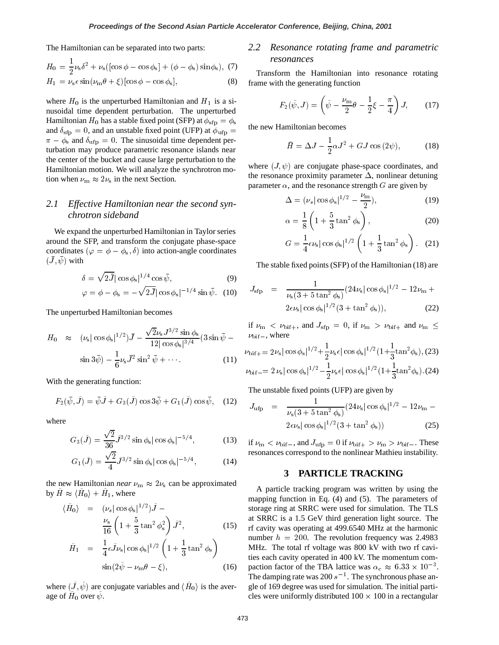The Hamiltonian can be separated into two parts:

$$
H_0 = \frac{1}{2}\nu_s \delta^2 + \nu_s ([\cos \phi - \cos \phi_s] + (\phi - \phi_s) \sin \phi_s), (7)
$$

$$
H_1 = \nu_{\rm s} \epsilon \sin(\nu_{\rm m}\theta + \xi) [\cos\phi - \cos\phi_{\rm s}], \tag{8}
$$

where  $H_0$  is the unperturbed Hamiltonian and  $H_1$  is a sinusoidal time dependent perturbation. The unperturbed Hamiltonian  $H_0$  has a stable fixed point (SFP) at  $\phi_{\rm sfp} = \phi_{\rm s}$ and  $\delta_{\rm sfp} = 0$ , and an unstable fixed point (UFP) at  $\phi_{\rm ufp} = 0$  $\pi - \phi_s$  and  $\delta_{\text{ufp}} = 0$ . The sinusoidal time dependent perturbation may produce parametric resonance islands near the center of the bucket and cause large perturbation to the Hamiltonian motion. We will analyze the synchrotron motion when  $\nu_{\rm m} \approx 2\nu_{\rm s}$  in the next Section.

#### *2.1 Effective Hamiltonian near the second synchrotron sideband*

We expand the unperturbed Hamiltonian in Taylor series around the SFP, and transform the conjugate phase-space coordinates  $(\varphi = \phi - \phi_s, \delta)$  into action-angle coordinates  $(J, \psi)$  with

$$
\delta = \sqrt{2\bar{J}} |\cos \phi_s|^{1/4} \cos \bar{\psi},\tag{9}
$$

$$
\varphi = \phi - \phi_s = -\sqrt{2J} |\cos \phi_s|^{-1/4} \sin \bar{\psi}.
$$
 (10)

The unperturbed Hamiltonian becomes

$$
H_0 \approx (\nu_s |\cos \phi_s|^{1/2}) \bar{J} - \frac{\sqrt{2} \nu_s J^{3/2} \sin \phi_s}{12 |\cos \phi_s|^{3/4}} (3 \sin \bar{\psi} - \sin 3\bar{\psi}) - \frac{1}{6} \nu_s \bar{J}^2 \sin^2 \bar{\psi} + \cdots. \tag{11}
$$

With the generating function:

$$
F_2(\bar{\psi}, \tilde{J}) = \bar{\psi}\tilde{J} + G_3(\tilde{J})\cos 3\bar{\psi} + G_1(\tilde{J})\cos \bar{\psi}, \quad (12)
$$

where

$$
G_3(\tilde{J}) = \frac{\sqrt{2}}{36} \tilde{J}^{3/2} \sin \phi_s |\cos \phi_s|^{-5/4}, \tag{13}
$$

$$
G_1(\tilde{J}) = \frac{\sqrt{2}}{4} \tilde{J}^{3/2} \sin \phi_s |\cos \phi_s|^{-5/4}, \qquad (14)
$$

the new Hamiltonian *near*  $\nu_{\rm m} \approx 2\nu_{\rm s}$  can be approximated by  $H \approx \langle H_0 \rangle + H_1$ , where

$$
\langle \tilde{H}_0 \rangle = (\nu_s |\cos \phi_s|^{1/2}) \tilde{J} -
$$
  

$$
\frac{\nu_s}{16} \left( 1 + \frac{5}{3} \tan^2 \phi_s^2 \right) \tilde{J}^2,
$$
 (15)

$$
\tilde{H}_1 = \frac{1}{4} \epsilon \tilde{J} \nu_s |\cos \phi_s|^{1/2} \left( 1 + \frac{1}{3} \tan^2 \phi_s \right)
$$
  

$$
\sin(2\tilde{\psi} - \nu_m \theta - \xi),
$$
 (16)

where  $(J, \psi)$  are conjugate variables and  $\langle H_0 \rangle$  is the average of  $H_0$  over  $\psi$ .

#### *2.2 Resonance rotating frame and parametric resonances*

Transform the Hamiltonian into resonance rotating frame with the generating function

$$
F_2(\tilde{\psi}, J) = \left(\tilde{\psi} - \frac{\nu_{\rm m}}{2}\theta - \frac{1}{2}\xi - \frac{\pi}{4}\right)J, \qquad (17)
$$

the new Hamiltonian becomes

$$
\bar{H} = \Delta J - \frac{1}{2}\alpha J^2 + GJ\cos(2\psi),\tag{18}
$$

where  $(J, \psi)$  are conjugate phase-space coordinates, and the resonance proximity parameter  $\Delta$ , nonlinear detuning parameter  $\alpha$ , and the resonance strength  $G$  are given by

$$
\Delta = (\nu_s |\cos \phi_s|^{1/2} - \frac{\nu_m}{2}),\tag{19}
$$

$$
\alpha = \frac{1}{8} \left( 1 + \frac{5}{3} \tan^2 \phi_s \right),\tag{20}
$$

$$
G = \frac{1}{4}\epsilon\nu_s |\cos\phi_s|^{1/2} \left(1 + \frac{1}{3}\tan^2\phi_s\right). \quad (21)
$$

The stable fixed points (SFP) of the Hamiltonian (18) are

$$
J_{\rm sfp} = \frac{1}{\nu_{\rm s}(3 + 5\tan^2\phi_{\rm s})} (24\nu_{\rm s}|\cos\phi_{\rm s}|^{1/2} - 12\nu_{\rm m} + 2\epsilon\nu_{\rm s}|\cos\phi_{\rm s}|^{1/2}(3 + \tan^2\phi_{\rm s})),
$$
 (22)

 $(3 \sin \bar{\psi} - \nu_{\text{bif}}),$  where if  $\nu_{\rm m}$   $\langle \nu_{\rm bif} \rangle$ , and  $J_{\rm sfp}$  = 0, if  $\nu_{\rm m}$   $\langle \nu_{\rm bif} \rangle$  and  $\nu_{\rm m}$   $\leq$ the company of the company of the company of the company of the company of the company of the company of the company

$$
\nu_{\text{bif+}} = 2\nu_{\text{s}} |\cos \phi_{\text{s}}|^{1/2} + \frac{1}{2} \nu_{\text{s}} \epsilon |\cos \phi_{\text{s}}|^{1/2} (1 + \frac{1}{3} \tan^2 \phi_{\text{s}}), (23)
$$
  

$$
\nu_{\text{bif-}} = 2 \nu_{\text{s}} |\cos \phi_{\text{s}}|^{1/2} - \frac{1}{2} \nu_{\text{s}} \epsilon |\cos \phi_{\text{s}}|^{1/2} (1 + \frac{1}{3} \tan^2 \phi_{\text{s}}). (24)
$$

The unstable fixed points (UFP) are given by

$$
J_{\rm{ufp}} = \frac{1}{\nu_{\rm{s}}(3 + 5\tan^{2}\phi_{\rm{s}})} (24\nu_{\rm{s}}|\cos\phi_{\rm{s}}|^{1/2} - 12\nu_{\rm{m}} - 2\epsilon\nu_{\rm{s}}|\cos\phi_{\rm{s}}|^{1/2}(3 + \tan^{2}\phi_{\rm{s}}))
$$
(25)

if  $\nu_{\rm m} < \nu_{\rm bif}$ , and  $J_{\rm ufp} = 0$  if  $\nu_{\rm bif} > \nu_{\rm m} > \nu_{\rm bif}$ . These resonances correspond to the nonlinear Mathieu instability.

#### **3 PARTICLE TRACKING**

 $\tan^2 \phi_s$  MHz. The total rf voltage was 800 kV with two rf cavi-A particle tracking program was written by using the mapping function in Eq. (4) and (5). The parameters of storage ring at SRRC were used for simulation. The TLS at SRRC is a 1.5 GeV third generation light source. The rf cavity was operating at 499.6540 MHz at the harmonic number  $h = 200$ . The revolution frequency was 2.4983 ties each cavity operated in 400 kV. The momentum compaction factor of the TBA lattice was  $\alpha_c \approx 6.33 \times 10^{-3}$ . The damping rate was  $200 s^{-1}$ . The synchronous phase angle of 169 degree was used for simulation. The initial particles were uniformly distributed  $100 \times 100$  in a rectangular